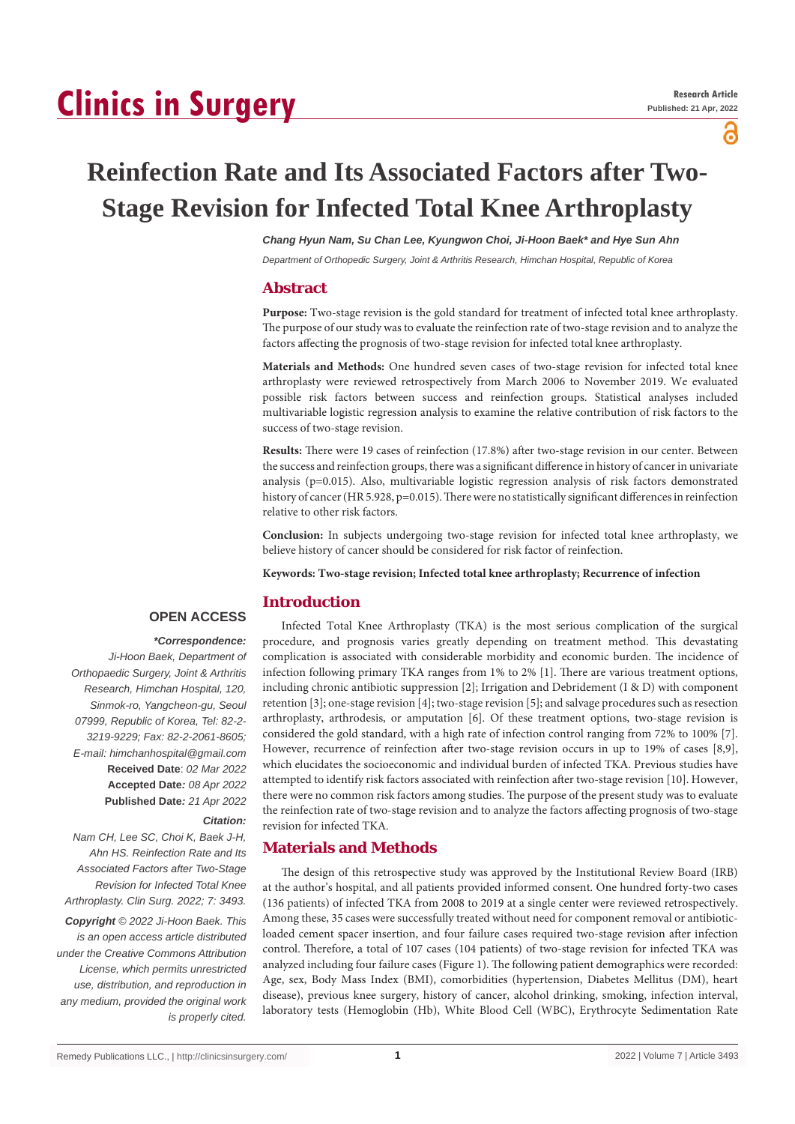# **Clinics in Surgery**

႕

# **Reinfection Rate and Its Associated Factors after Two-Stage Revision for Infected Total Knee Arthroplasty**

*Chang Hyun Nam, Su Chan Lee, Kyungwon Choi, Ji-Hoon Baek\* and Hye Sun Ahn*

*Department of Orthopedic Surgery, Joint & Arthritis Research, Himchan Hospital, Republic of Korea*

#### **Abstract**

**Purpose:** Two-stage revision is the gold standard for treatment of infected total knee arthroplasty. The purpose of our study was to evaluate the reinfection rate of two-stage revision and to analyze the factors affecting the prognosis of two-stage revision for infected total knee arthroplasty.

**Materials and Methods:** One hundred seven cases of two-stage revision for infected total knee arthroplasty were reviewed retrospectively from March 2006 to November 2019. We evaluated possible risk factors between success and reinfection groups. Statistical analyses included multivariable logistic regression analysis to examine the relative contribution of risk factors to the success of two-stage revision.

**Results:** There were 19 cases of reinfection (17.8%) after two-stage revision in our center. Between the success and reinfection groups, there was a significant difference in history of cancer in univariate analysis (p=0.015). Also, multivariable logistic regression analysis of risk factors demonstrated history of cancer (HR 5.928, p=0.015). There were no statistically significant differences in reinfection relative to other risk factors.

**Conclusion:** In subjects undergoing two-stage revision for infected total knee arthroplasty, we believe history of cancer should be considered for risk factor of reinfection.

**Keywords: Two-stage revision; Infected total knee arthroplasty; Recurrence of infection**

#### **Introduction**

## **OPEN ACCESS**

#### *\*Correspondence:*

*Ji-Hoon Baek, Department of Orthopaedic Surgery, Joint & Arthritis Research, Himchan Hospital, 120, Sinmok-ro, Yangcheon-gu, Seoul 07999, Republic of Korea, Tel: 82-2- 3219-9229; Fax: 82-2-2061-8605; E-mail: himchanhospital@gmail.com* **Received Date**: *02 Mar 2022* **Accepted Date***: 08 Apr 2022* **Published Date***: 21 Apr 2022*

#### *Citation:*

*Nam CH, Lee SC, Choi K, Baek J-H, Ahn HS. Reinfection Rate and Its Associated Factors after Two-Stage Revision for Infected Total Knee Arthroplasty. Clin Surg. 2022; 7: 3493.*

*Copyright © 2022 Ji-Hoon Baek. This is an open access article distributed under the Creative Commons Attribution License, which permits unrestricted use, distribution, and reproduction in any medium, provided the original work is properly cited.*

Infected Total Knee Arthroplasty (TKA) is the most serious complication of the surgical procedure, and prognosis varies greatly depending on treatment method. This devastating complication is associated with considerable morbidity and economic burden. The incidence of infection following primary TKA ranges from 1% to 2% [1]. There are various treatment options, including chronic antibiotic suppression [2]; Irrigation and Debridement (I & D) with component retention [3]; one-stage revision [4]; two-stage revision [5]; and salvage procedures such as resection arthroplasty, arthrodesis, or amputation [6]. Of these treatment options, two-stage revision is considered the gold standard, with a high rate of infection control ranging from 72% to 100% [7]. However, recurrence of reinfection after two-stage revision occurs in up to 19% of cases [8,9], which elucidates the socioeconomic and individual burden of infected TKA. Previous studies have attempted to identify risk factors associated with reinfection after two-stage revision [10]. However, there were no common risk factors among studies. The purpose of the present study was to evaluate the reinfection rate of two-stage revision and to analyze the factors affecting prognosis of two-stage revision for infected TKA.

#### **Materials and Methods**

The design of this retrospective study was approved by the Institutional Review Board (IRB) at the author's hospital, and all patients provided informed consent. One hundred forty-two cases (136 patients) of infected TKA from 2008 to 2019 at a single center were reviewed retrospectively. Among these, 35 cases were successfully treated without need for component removal or antibioticloaded cement spacer insertion, and four failure cases required two-stage revision after infection control. Therefore, a total of 107 cases (104 patients) of two-stage revision for infected TKA was analyzed including four failure cases (Figure 1). The following patient demographics were recorded: Age, sex, Body Mass Index (BMI), comorbidities (hypertension, Diabetes Mellitus (DM), heart disease), previous knee surgery, history of cancer, alcohol drinking, smoking, infection interval, laboratory tests (Hemoglobin (Hb), White Blood Cell (WBC), Erythrocyte Sedimentation Rate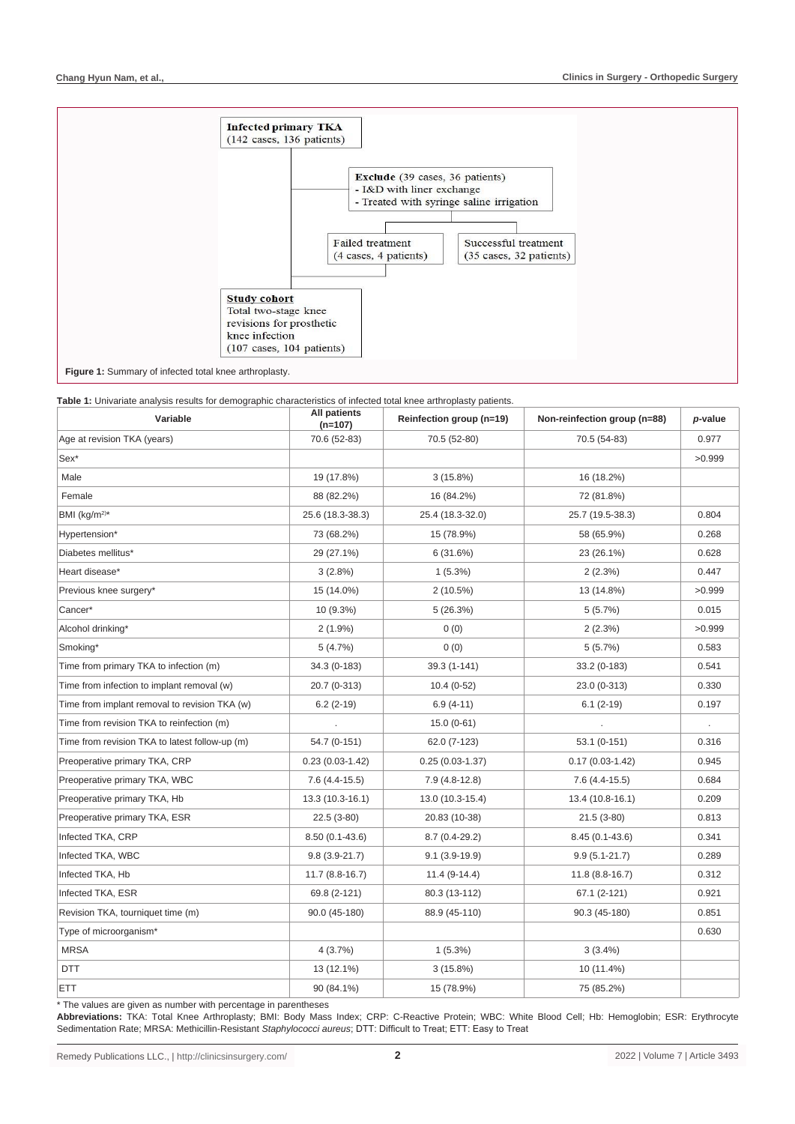

**Table 1:** Univariate analysis results for demographic characteristics of infected total knee arthroplasty patients.

| Variable                                       | All patients<br>$(n=107)$ | Reinfection group (n=19) | Non-reinfection group (n=88) | p-value        |
|------------------------------------------------|---------------------------|--------------------------|------------------------------|----------------|
| Age at revision TKA (years)                    | 70.6 (52-83)              | 70.5 (52-80)             | 70.5 (54-83)                 | 0.977          |
| Sex <sup>*</sup>                               |                           |                          |                              | >0.999         |
| Male                                           | 19 (17.8%)                | $3(15.8\%)$              | 16 (18.2%)                   |                |
| Female                                         | 88 (82.2%)                | 16 (84.2%)               | 72 (81.8%)                   |                |
| BMI (kg/m <sup>2)*</sup>                       | 25.6 (18.3-38.3)          | 25.4 (18.3-32.0)         | 25.7 (19.5-38.3)             | 0.804          |
| Hypertension*                                  | 73 (68.2%)                | 15 (78.9%)               | 58 (65.9%)                   | 0.268          |
| Diabetes mellitus*                             | 29 (27.1%)                | 6(31.6%)<br>23 (26.1%)   |                              | 0.628          |
| Heart disease*                                 | 3(2.8%)                   | $1(5.3\%)$               | 2(2.3%)                      | 0.447          |
| Previous knee surgery*                         | 15 (14.0%)                | 2(10.5%)                 | 13 (14.8%)                   | >0.999         |
| Cancer*                                        | 10 (9.3%)                 | 5(26.3%)                 | 5(5.7%)                      | 0.015          |
| Alcohol drinking*                              | $2(1.9\%)$                | 0(0)                     | 2(2.3%)                      | >0.999         |
| Smoking*                                       | 5(4.7%)                   | 0(0)                     | 5(5.7%)                      | 0.583          |
| Time from primary TKA to infection (m)         | 34.3 (0-183)              | 39.3 (1-141)             | 33.2 (0-183)                 | 0.541          |
| Time from infection to implant removal (w)     | 20.7 (0-313)              | $10.4(0-52)$             | 23.0 (0-313)                 | 0.330          |
| Time from implant removal to revision TKA (w)  | $6.2(2-19)$               | $6.9(4-11)$              | $6.1(2-19)$                  | 0.197          |
| Time from revision TKA to reinfection (m)      |                           | $15.0(0-61)$             |                              | $\blacksquare$ |
| Time from revision TKA to latest follow-up (m) | 54.7 (0-151)              | 62.0 (7-123)             | 53.1 (0-151)                 | 0.316          |
| Preoperative primary TKA, CRP                  | $0.23(0.03-1.42)$         | $0.25(0.03-1.37)$        | $0.17(0.03 - 1.42)$          | 0.945          |
| Preoperative primary TKA, WBC                  | $7.6(4.4-15.5)$           | $7.9(4.8-12.8)$          | $7.6(4.4-15.5)$              | 0.684          |
| Preoperative primary TKA, Hb                   | 13.3 (10.3-16.1)          | 13.0 (10.3-15.4)         | 13.4 (10.8-16.1)             | 0.209          |
| Preoperative primary TKA, ESR                  | $22.5(3-80)$              | 20.83 (10-38)            | $21.5(3-80)$                 | 0.813          |
| Infected TKA, CRP                              | $8.50(0.1-43.6)$          | $8.7(0.4-29.2)$          | $8.45(0.1-43.6)$             | 0.341          |
| Infected TKA, WBC                              | $9.8(3.9-21.7)$           | $9.1(3.9-19.9)$          | $9.9(5.1 - 21.7)$            | 0.289          |
| Infected TKA, Hb                               | 11.7 (8.8-16.7)           | 11.4 (9-14.4)            | 11.8 (8.8-16.7)              | 0.312          |
| Infected TKA, ESR                              | 69.8 (2-121)              | 80.3 (13-112)            | 67.1 (2-121)                 | 0.921          |
| Revision TKA, tourniquet time (m)              | $90.0(45-180)$            | 88.9 (45-110)            | 90.3 (45-180)                | 0.851          |
| Type of microorganism*                         |                           |                          |                              | 0.630          |
| <b>MRSA</b>                                    | 4(3.7%)                   | 1(5.3%)                  | $3(3.4\%)$                   |                |
| DTT                                            | 13 (12.1%)                | $3(15.8\%)$              | 10 (11.4%)                   |                |
| ETT                                            | 90 (84.1%)                | 15 (78.9%)               | 75 (85.2%)                   |                |

\* The values are given as number with percentage in parentheses

**Abbreviations:** TKA: Total Knee Arthroplasty; BMI: Body Mass Index; CRP: C-Reactive Protein; WBC: White Blood Cell; Hb: Hemoglobin; ESR: Erythrocyte Sedimentation Rate; MRSA: Methicillin-Resistant *Staphylococci aureus*; DTT: Difficult to Treat; ETT: Easy to Treat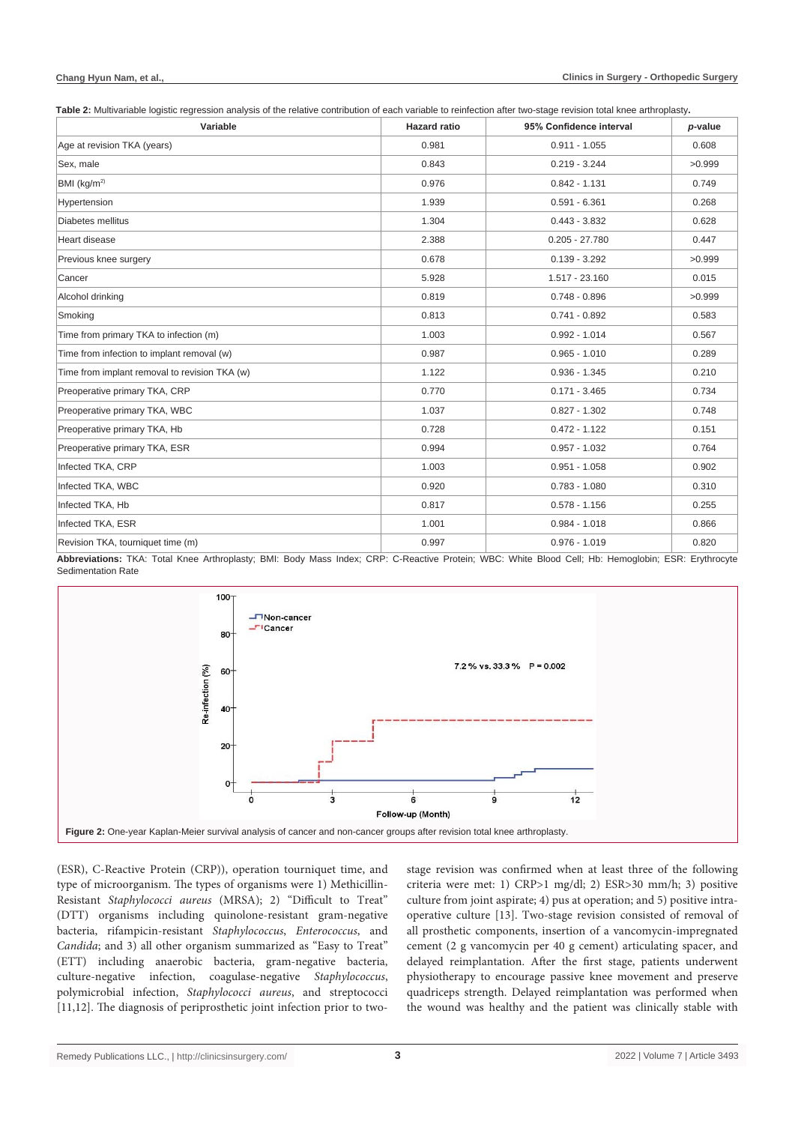#### **Chang Hyun Nam, et al.,**

**Table 2:** Multivariable logistic regression analysis of the relative contribution of each variable to reinfection after two-stage revision total knee arthroplasty**.**

| Variable                                      | <b>Hazard ratio</b> | 95% Confidence interval | p-value |
|-----------------------------------------------|---------------------|-------------------------|---------|
| Age at revision TKA (years)                   | 0.981               | $0.911 - 1.055$         | 0.608   |
| Sex, male                                     | 0.843               | $0.219 - 3.244$         | >0.999  |
| BMI (kg/m <sup>2)</sup>                       | 0.976               | $0.842 - 1.131$         | 0.749   |
| Hypertension                                  | 1.939               | $0.591 - 6.361$         | 0.268   |
| Diabetes mellitus                             | 1.304               | $0.443 - 3.832$         | 0.628   |
| Heart disease                                 | 2.388               | $0.205 - 27.780$        | 0.447   |
| Previous knee surgery                         | 0.678               | $0.139 - 3.292$         | >0.999  |
| Cancer                                        | 5.928               | 1.517 - 23.160          | 0.015   |
| Alcohol drinking                              | 0.819               | $0.748 - 0.896$         | >0.999  |
| Smoking                                       | 0.813               | $0.741 - 0.892$         | 0.583   |
| Time from primary TKA to infection (m)        | 1.003               | $0.992 - 1.014$         | 0.567   |
| Time from infection to implant removal (w)    | 0.987               | $0.965 - 1.010$         | 0.289   |
| Time from implant removal to revision TKA (w) | 1.122               | $0.936 - 1.345$         | 0.210   |
| Preoperative primary TKA, CRP                 | 0.770               | $0.171 - 3.465$         | 0.734   |
| Preoperative primary TKA, WBC                 | 1.037               | $0.827 - 1.302$         | 0.748   |
| Preoperative primary TKA, Hb                  | 0.728               | $0.472 - 1.122$         | 0.151   |
| Preoperative primary TKA, ESR                 | 0.994               | $0.957 - 1.032$         | 0.764   |
| Infected TKA, CRP                             | 1.003               | $0.951 - 1.058$         | 0.902   |
| Infected TKA, WBC                             | 0.920               | $0.783 - 1.080$         | 0.310   |
| Infected TKA, Hb                              | 0.817               | $0.578 - 1.156$         | 0.255   |
| Infected TKA, ESR                             | 1.001               | $0.984 - 1.018$         | 0.866   |
| Revision TKA, tourniquet time (m)             | 0.997               | $0.976 - 1.019$         | 0.820   |

**Abbreviations:** TKA: Total Knee Arthroplasty; BMI: Body Mass Index; CRP: C-Reactive Protein; WBC: White Blood Cell; Hb: Hemoglobin; ESR: Erythrocyte Sedimentation Rate



(ESR), C-Reactive Protein (CRP)), operation tourniquet time, and type of microorganism. The types of organisms were 1) Methicillin-Resistant *Staphylococci aureus* (MRSA); 2) "Difficult to Treat" (DTT) organisms including quinolone-resistant gram-negative bacteria, rifampicin-resistant *Staphylococcus*, *Enterococcus*, and *Candida*; and 3) all other organism summarized as "Easy to Treat" (ETT) including anaerobic bacteria, gram-negative bacteria, culture-negative infection, coagulase-negative *Staphylococcus*, polymicrobial infection, *Staphylococci aureus*, and streptococci [11,12]. The diagnosis of periprosthetic joint infection prior to two-

stage revision was confirmed when at least three of the following criteria were met: 1) CRP>1 mg/dl; 2) ESR>30 mm/h; 3) positive culture from joint aspirate; 4) pus at operation; and 5) positive intraoperative culture [13]. Two-stage revision consisted of removal of all prosthetic components, insertion of a vancomycin-impregnated cement (2 g vancomycin per 40 g cement) articulating spacer, and delayed reimplantation. After the first stage, patients underwent physiotherapy to encourage passive knee movement and preserve quadriceps strength. Delayed reimplantation was performed when the wound was healthy and the patient was clinically stable with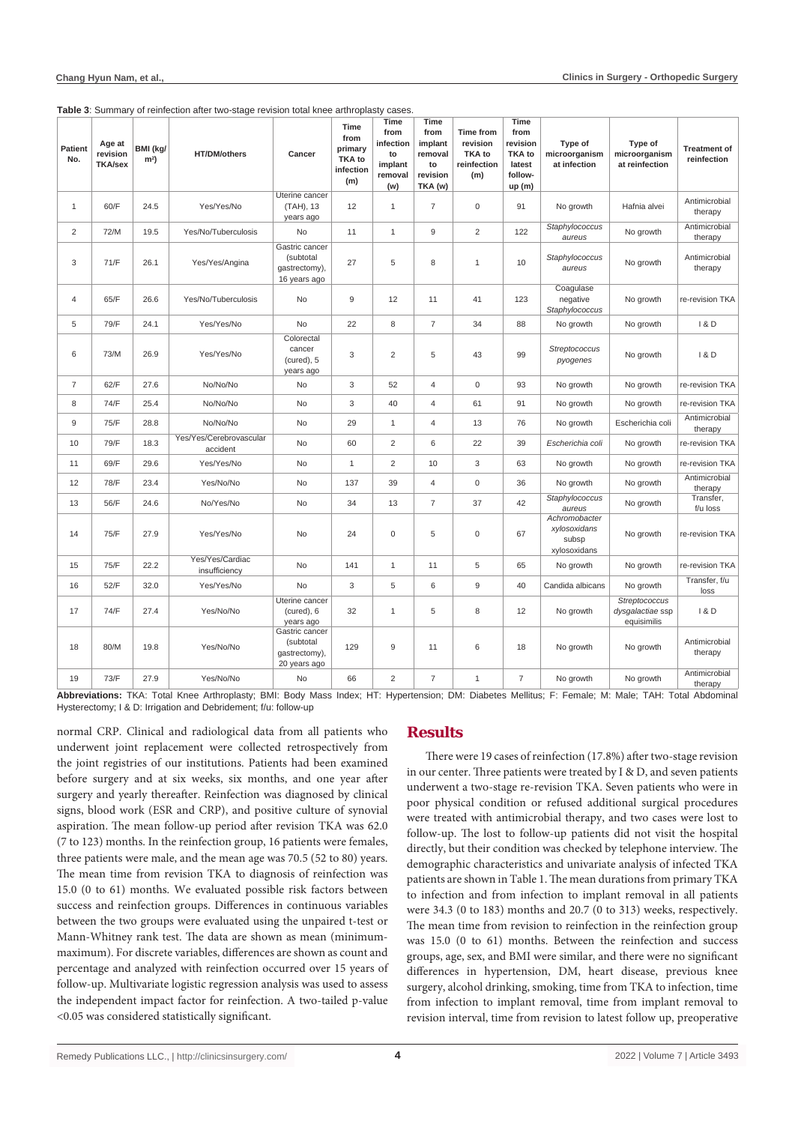| <b>Patient</b><br>No. | Age at<br>revision<br><b>TKA/sex</b> | BMI (kg/<br>m <sup>2</sup> | <b>HT/DM/others</b>                 | Cancer                                                       | <b>Time</b><br>from<br>primary<br><b>TKA</b> to<br>infection<br>(m) | Time<br>from<br>infection<br>to<br>implant<br>removal<br>(w) | Time<br>from<br>implant<br>removal<br>to<br>revision<br>TKA (w) | <b>Time from</b><br>revision<br>TKA to<br>reinfection<br>(m) | <b>Time</b><br>from<br>revision<br><b>TKA</b> to<br>latest<br>follow-<br>up(m) | Type of<br>microorganism<br>at infection               | Type of<br>microorganism<br>at reinfection       | <b>Treatment of</b><br>reinfection |
|-----------------------|--------------------------------------|----------------------------|-------------------------------------|--------------------------------------------------------------|---------------------------------------------------------------------|--------------------------------------------------------------|-----------------------------------------------------------------|--------------------------------------------------------------|--------------------------------------------------------------------------------|--------------------------------------------------------|--------------------------------------------------|------------------------------------|
| 1                     | 60/F                                 | 24.5                       | Yes/Yes/No                          | Uterine cancer<br>(TAH), 13<br>years ago                     | 12                                                                  | $\mathbf{1}$                                                 | $\overline{7}$                                                  | 0                                                            | 91                                                                             | No growth                                              | Hafnia alvei                                     | Antimicrobial<br>therapy           |
| $\overline{2}$        | 72/M                                 | 19.5                       | Yes/No/Tuberculosis                 | No                                                           | 11                                                                  | $\mathbf{1}$                                                 | 9                                                               | 2                                                            | 122                                                                            | Staphylococcus<br>aureus                               | No growth                                        | Antimicrobial<br>therapy           |
| 3                     | 71/F                                 | 26.1                       | Yes/Yes/Angina                      | Gastric cancer<br>(subtotal<br>qastrectomy),<br>16 years ago | 27                                                                  | 5                                                            | 8                                                               | $\mathbf{1}$                                                 | 10                                                                             | Staphylococcus<br>aureus                               | No growth                                        | Antimicrobial<br>therapy           |
| $\overline{4}$        | 65/F                                 | 26.6                       | Yes/No/Tuberculosis                 | No                                                           | 9                                                                   | 12                                                           | 11                                                              | 41                                                           | 123                                                                            | Coagulase<br>negative<br>Staphylococcus                | No growth                                        | re-revision TKA                    |
| 5                     | 79/F                                 | 24.1                       | Yes/Yes/No                          | No                                                           | 22                                                                  | 8                                                            | $\overline{7}$                                                  | 34                                                           | 88                                                                             | No growth                                              | No growth                                        | 1 & D                              |
| 6                     | 73/M                                 | 26.9                       | Yes/Yes/No                          | Colorectal<br>cancer<br>(cured), 5<br>years ago              | 3                                                                   | $\overline{c}$                                               | 5                                                               | 43                                                           | 99                                                                             | Streptococcus<br>pyogenes                              | No growth                                        | 1 & D                              |
| $\overline{7}$        | 62/F                                 | 27.6                       | No/No/No                            | No                                                           | 3                                                                   | 52                                                           | $\overline{4}$                                                  | $\mathbf 0$                                                  | 93                                                                             | No growth                                              | No growth                                        | re-revision TKA                    |
| 8                     | 74/F                                 | 25.4                       | No/No/No                            | No                                                           | 3                                                                   | 40                                                           | $\overline{4}$                                                  | 61                                                           | 91                                                                             | No growth                                              | No growth                                        | re-revision TKA                    |
| 9                     | 75/F                                 | 28.8                       | No/No/No                            | No                                                           | 29                                                                  | $\mathbf{1}$                                                 | $\overline{4}$                                                  | 13                                                           | 76                                                                             | No growth                                              | Escherichia coli                                 | Antimicrobial<br>therapy           |
| 10                    | 79/F                                 | 18.3                       | Yes/Yes/Cerebrovascular<br>accident | No                                                           | 60                                                                  | $\sqrt{2}$                                                   | 6                                                               | 22                                                           | 39                                                                             | Escherichia coli                                       | No growth                                        | re-revision TKA                    |
| 11                    | 69/F                                 | 29.6                       | Yes/Yes/No                          | No                                                           | $\mathbf{1}$                                                        | $\overline{c}$                                               | 10                                                              | $\ensuremath{\mathsf{3}}$                                    | 63                                                                             | No growth                                              | No growth                                        | re-revision TKA                    |
| 12                    | 78/F                                 | 23.4                       | Yes/No/No                           | No                                                           | 137                                                                 | 39                                                           | $\overline{4}$                                                  | $\mathbf 0$                                                  | 36                                                                             | No growth                                              | No growth                                        | Antimicrobial<br>therapy           |
| 13                    | 56/F                                 | 24.6                       | No/Yes/No                           | No                                                           | 34                                                                  | 13                                                           | $\overline{7}$                                                  | 37                                                           | 42                                                                             | Staphylococcus<br>aureus                               | No growth                                        | Transfer,<br>f/u loss              |
| 14                    | 75/F                                 | 27.9                       | Yes/Yes/No                          | No                                                           | 24                                                                  | 0                                                            | 5                                                               | $\mathsf 0$                                                  | 67                                                                             | Achromobacter<br>xylosoxidans<br>subsp<br>xylosoxidans | No growth                                        | re-revision TKA                    |
| 15                    | 75/F                                 | 22.2                       | Yes/Yes/Cardiac<br>insufficiency    | No                                                           | 141                                                                 | $\mathbf{1}$                                                 | 11                                                              | 5                                                            | 65                                                                             | No growth                                              | No growth                                        | re-revision TKA                    |
| 16                    | 52/F                                 | 32.0                       | Yes/Yes/No                          | No                                                           | 3                                                                   | 5                                                            | 6                                                               | $\boldsymbol{9}$                                             | 40                                                                             | Candida albicans                                       | No growth                                        | Transfer, f/u<br>loss              |
| 17                    | 74/F                                 | 27.4                       | Yes/No/No                           | Uterine cancer<br>$(cured)$ , 6<br>years ago                 | 32                                                                  | $\mathbf{1}$                                                 | 5                                                               | 8                                                            | 12                                                                             | No growth                                              | Streptococcus<br>dysgalactiae ssp<br>equisimilis | 1 & D                              |
| 18                    | 80/M                                 | 19.8                       | Yes/No/No                           | Gastric cancer<br>(subtotal<br>gastrectomy),<br>20 years ago | 129                                                                 | 9                                                            | 11                                                              | 6                                                            | 18                                                                             | No growth                                              | No growth                                        | Antimicrobial<br>therapy           |
| 19                    | 73/F                                 | 27.9                       | Yes/No/No                           | No                                                           | 66                                                                  | $\overline{2}$                                               | $\overline{7}$                                                  | $\mathbf{1}$                                                 | $\overline{7}$                                                                 | No growth                                              | No growth                                        | Antimicrobial<br>therapy           |

**Table 3**: Summary of reinfection after two-stage revision total knee arthroplasty cases.

**Abbreviations:** TKA: Total Knee Arthroplasty; BMI: Body Mass Index; HT: Hypertension; DM: Diabetes Mellitus; F: Female; M: Male; TAH: Total Abdominal Hysterectomy; I & D: Irrigation and Debridement; f/u: follow-up

normal CRP. Clinical and radiological data from all patients who underwent joint replacement were collected retrospectively from the joint registries of our institutions. Patients had been examined before surgery and at six weeks, six months, and one year after surgery and yearly thereafter. Reinfection was diagnosed by clinical signs, blood work (ESR and CRP), and positive culture of synovial aspiration. The mean follow-up period after revision TKA was 62.0 (7 to 123) months. In the reinfection group, 16 patients were females, three patients were male, and the mean age was 70.5 (52 to 80) years. The mean time from revision TKA to diagnosis of reinfection was 15.0 (0 to 61) months. We evaluated possible risk factors between success and reinfection groups. Differences in continuous variables between the two groups were evaluated using the unpaired t-test or Mann-Whitney rank test. The data are shown as mean (minimummaximum). For discrete variables, differences are shown as count and percentage and analyzed with reinfection occurred over 15 years of follow-up. Multivariate logistic regression analysis was used to assess the independent impact factor for reinfection. A two-tailed p-value <0.05 was considered statistically significant.

### **Results**

There were 19 cases of reinfection (17.8%) after two-stage revision in our center. Three patients were treated by I & D, and seven patients underwent a two-stage re-revision TKA. Seven patients who were in poor physical condition or refused additional surgical procedures were treated with antimicrobial therapy, and two cases were lost to follow-up. The lost to follow-up patients did not visit the hospital directly, but their condition was checked by telephone interview. The demographic characteristics and univariate analysis of infected TKA patients are shown in Table 1. The mean durations from primary TKA to infection and from infection to implant removal in all patients were 34.3 (0 to 183) months and 20.7 (0 to 313) weeks, respectively. The mean time from revision to reinfection in the reinfection group was 15.0 (0 to 61) months. Between the reinfection and success groups, age, sex, and BMI were similar, and there were no significant differences in hypertension, DM, heart disease, previous knee surgery, alcohol drinking, smoking, time from TKA to infection, time from infection to implant removal, time from implant removal to revision interval, time from revision to latest follow up, preoperative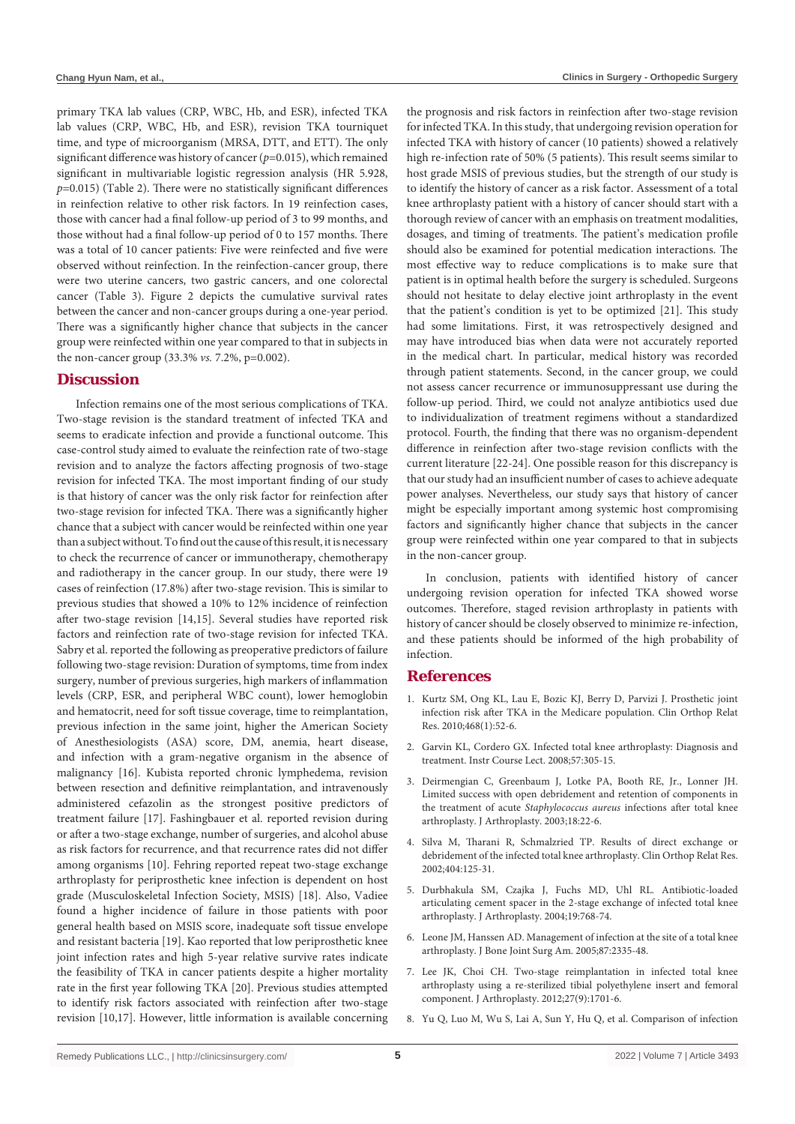primary TKA lab values (CRP, WBC, Hb, and ESR), infected TKA lab values (CRP, WBC, Hb, and ESR), revision TKA tourniquet time, and type of microorganism (MRSA, DTT, and ETT). The only significant difference was history of cancer (*p*=0.015), which remained significant in multivariable logistic regression analysis (HR 5.928, *p*=0.015) (Table 2). There were no statistically significant differences in reinfection relative to other risk factors. In 19 reinfection cases, those with cancer had a final follow-up period of 3 to 99 months, and those without had a final follow-up period of 0 to 157 months. There was a total of 10 cancer patients: Five were reinfected and five were observed without reinfection. In the reinfection-cancer group, there were two uterine cancers, two gastric cancers, and one colorectal cancer (Table 3). Figure 2 depicts the cumulative survival rates between the cancer and non-cancer groups during a one-year period. There was a significantly higher chance that subjects in the cancer group were reinfected within one year compared to that in subjects in the non-cancer group (33.3% *vs.* 7.2%, p=0.002).

#### **Discussion**

Infection remains one of the most serious complications of TKA. Two-stage revision is the standard treatment of infected TKA and seems to eradicate infection and provide a functional outcome. This case-control study aimed to evaluate the reinfection rate of two-stage revision and to analyze the factors affecting prognosis of two-stage revision for infected TKA. The most important finding of our study is that history of cancer was the only risk factor for reinfection after two-stage revision for infected TKA. There was a significantly higher chance that a subject with cancer would be reinfected within one year than a subject without. To find out the cause of this result, it is necessary to check the recurrence of cancer or immunotherapy, chemotherapy and radiotherapy in the cancer group. In our study, there were 19 cases of reinfection (17.8%) after two-stage revision. This is similar to previous studies that showed a 10% to 12% incidence of reinfection after two-stage revision [14,15]. Several studies have reported risk factors and reinfection rate of two-stage revision for infected TKA. Sabry et al. reported the following as preoperative predictors of failure following two-stage revision: Duration of symptoms, time from index surgery, number of previous surgeries, high markers of inflammation levels (CRP, ESR, and peripheral WBC count), lower hemoglobin and hematocrit, need for soft tissue coverage, time to reimplantation, previous infection in the same joint, higher the American Society of Anesthesiologists (ASA) score, DM, anemia, heart disease, and infection with a gram-negative organism in the absence of malignancy [16]. Kubista reported chronic lymphedema, revision between resection and definitive reimplantation, and intravenously administered cefazolin as the strongest positive predictors of treatment failure [17]. Fashingbauer et al. reported revision during or after a two-stage exchange, number of surgeries, and alcohol abuse as risk factors for recurrence, and that recurrence rates did not differ among organisms [10]. Fehring reported repeat two-stage exchange arthroplasty for periprosthetic knee infection is dependent on host grade (Musculoskeletal Infection Society, MSIS) [18]. Also, Vadiee found a higher incidence of failure in those patients with poor general health based on MSIS score, inadequate soft tissue envelope and resistant bacteria [19]. Kao reported that low periprosthetic knee joint infection rates and high 5-year relative survive rates indicate the feasibility of TKA in cancer patients despite a higher mortality rate in the first year following TKA [20]. Previous studies attempted to identify risk factors associated with reinfection after two-stage revision [10,17]. However, little information is available concerning

the prognosis and risk factors in reinfection after two-stage revision for infected TKA. In this study, that undergoing revision operation for infected TKA with history of cancer (10 patients) showed a relatively high re-infection rate of 50% (5 patients). This result seems similar to host grade MSIS of previous studies, but the strength of our study is to identify the history of cancer as a risk factor. Assessment of a total knee arthroplasty patient with a history of cancer should start with a thorough review of cancer with an emphasis on treatment modalities, dosages, and timing of treatments. The patient's medication profile should also be examined for potential medication interactions. The most effective way to reduce complications is to make sure that patient is in optimal health before the surgery is scheduled. Surgeons should not hesitate to delay elective joint arthroplasty in the event that the patient's condition is yet to be optimized [21]. This study had some limitations. First, it was retrospectively designed and may have introduced bias when data were not accurately reported in the medical chart. In particular, medical history was recorded through patient statements. Second, in the cancer group, we could not assess cancer recurrence or immunosuppressant use during the follow-up period. Third, we could not analyze antibiotics used due to individualization of treatment regimens without a standardized protocol. Fourth, the finding that there was no organism-dependent difference in reinfection after two-stage revision conflicts with the current literature [22-24]. One possible reason for this discrepancy is that our study had an insufficient number of cases to achieve adequate power analyses. Nevertheless, our study says that history of cancer might be especially important among systemic host compromising factors and significantly higher chance that subjects in the cancer group were reinfected within one year compared to that in subjects in the non-cancer group.

In conclusion, patients with identified history of cancer undergoing revision operation for infected TKA showed worse outcomes. Therefore, staged revision arthroplasty in patients with history of cancer should be closely observed to minimize re-infection, and these patients should be informed of the high probability of infection.

#### **References**

- 1. [Kurtz SM, Ong KL, Lau E, Bozic KJ, Berry D, Parvizi J. Prosthetic joint](https://pubmed.ncbi.nlm.nih.gov/19669386/)  [infection risk after TKA in the Medicare population. Clin Orthop Relat](https://pubmed.ncbi.nlm.nih.gov/19669386/)  [Res. 2010;468\(1\):52-6.](https://pubmed.ncbi.nlm.nih.gov/19669386/)
- 2. [Garvin KL, Cordero GX. Infected total knee arthroplasty: Diagnosis and](https://pubmed.ncbi.nlm.nih.gov/18399594/)  [treatment. Instr Course Lect. 2008;57:305-15.](https://pubmed.ncbi.nlm.nih.gov/18399594/)
- 3. [Deirmengian C, Greenbaum J, Lotke PA, Booth RE, Jr., Lonner JH.](https://pubmed.ncbi.nlm.nih.gov/14560406/)  [Limited success with open debridement and retention of components in](https://pubmed.ncbi.nlm.nih.gov/14560406/)  the treatment of acute *Staphylococcus aureus* [infections after total knee](https://pubmed.ncbi.nlm.nih.gov/14560406/)  [arthroplasty. J Arthroplasty. 2003;18:22-6.](https://pubmed.ncbi.nlm.nih.gov/14560406/)
- 4. [Silva M, Tharani R, Schmalzried TP. Results of direct exchange or](https://pubmed.ncbi.nlm.nih.gov/12439250/)  [debridement of the infected total knee arthroplasty. Clin Orthop Relat Res.](https://pubmed.ncbi.nlm.nih.gov/12439250/)  [2002;404:125-31.](https://pubmed.ncbi.nlm.nih.gov/12439250/)
- 5. [Durbhakula SM, Czajka J, Fuchs MD, Uhl RL. Antibiotic-loaded](https://pubmed.ncbi.nlm.nih.gov/15343539/)  [articulating cement spacer in the 2-stage exchange of infected total knee](https://pubmed.ncbi.nlm.nih.gov/15343539/)  [arthroplasty. J Arthroplasty. 2004;19:768-74.](https://pubmed.ncbi.nlm.nih.gov/15343539/)
- 6. [Leone JM, Hanssen AD. Management of infection at the site of a total knee](https://pubmed.ncbi.nlm.nih.gov/16224857/)  [arthroplasty. J Bone Joint Surg Am. 2005;87:2335-48.](https://pubmed.ncbi.nlm.nih.gov/16224857/)
- 7. [Lee JK, Choi CH. Two-stage reimplantation in infected total knee](https://pubmed.ncbi.nlm.nih.gov/22503405/)  [arthroplasty using a re-sterilized tibial polyethylene insert and femoral](https://pubmed.ncbi.nlm.nih.gov/22503405/)  [component. J Arthroplasty. 2012;27\(9\):1701-6.](https://pubmed.ncbi.nlm.nih.gov/22503405/)
- 8. [Yu Q, Luo M, Wu S, Lai A, Sun Y, Hu Q, et al. Comparison of infection](https://pubmed.ncbi.nlm.nih.gov/30850888/)